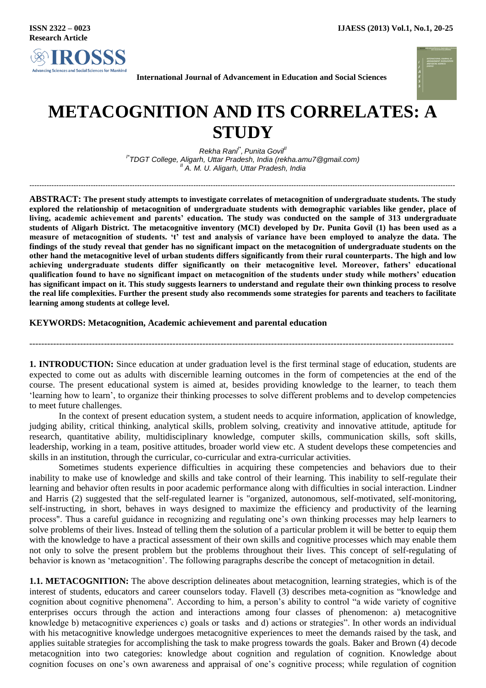

**International Journal of Advancement in Education and Social Sciences**



## **METACOGNITION AND ITS CORRELATES: A STUDY**

*Rekha Rani I\* , Punita GovilII I\* TDGT College, Aligarh, Uttar Pradesh, India [\(rekha.amu7@gmail.com\)](mailto:rekha.amu7@gmail.com) II A. M. U. Aligarh, Uttar Pradesh, India*

*------------------------------------------------------------------------------------------------------------------------------------------------------------------------------*

**ABSTRACT: The present study attempts to investigate correlates of metacognition of undergraduate students. The study explored the relationship of metacognition of undergraduate students with demographic variables like gender, place of living, academic achievement and parents' education. The study was conducted on the sample of 313 undergraduate students of Aligarh District. The metacognitive inventory (MCI) developed by Dr. Punita Govil (1) has been used as a measure of metacognition of students. 't' test and analysis of variance have been employed to analyze the data. The findings of the study reveal that gender has no significant impact on the metacognition of undergraduate students on the other hand the metacognitive level of urban students differs significantly from their rural counterparts. The high and low achieving undergraduate students differ significantly on their metacognitive level. Moreover, fathers' educational qualification found to have no significant impact on metacognition of the students under study while mothers' education has significant impact on it. This study suggests learners to understand and regulate their own thinking process to resolve the real life complexities. Further the present study also recommends some strategies for parents and teachers to facilitate learning among students at college level.**

## **KEYWORDS: Metacognition, Academic achievement and parental education**

**1. INTRODUCTION:** Since education at under graduation level is the first terminal stage of education, students are expected to come out as adults with discernible learning outcomes in the form of competencies at the end of the course. The present educational system is aimed at, besides providing knowledge to the learner, to teach them "learning how to learn", to organize their thinking processes to solve different problems and to develop competencies to meet future challenges.

----------------------------------------------------------------------------------------------------------------------------------------------

In the context of present education system, a student needs to acquire information, application of knowledge, judging ability, critical thinking, analytical skills, problem solving, creativity and innovative attitude, aptitude for research, quantitative ability, multidisciplinary knowledge, computer skills, communication skills, soft skills, leadership, working in a team, positive attitudes, broader world view etc. A student develops these competencies and skills in an institution, through the curricular, co-curricular and extra-curricular activities.

Sometimes students experience difficulties in acquiring these competencies and behaviors due to their inability to make use of knowledge and skills and take control of their learning. This inability to self-regulate their learning and behavior often results in poor academic performance along with difficulties in social interaction. Lindner and Harris (2) suggested that the self-regulated learner is "organized, autonomous, self-motivated, self-monitoring, self-instructing, in short, behaves in ways designed to maximize the efficiency and productivity of the learning process". Thus a careful guidance in recognizing and regulating one"s own thinking processes may help learners to solve problems of their lives. Instead of telling them the solution of a particular problem it will be better to equip them with the knowledge to have a practical assessment of their own skills and cognitive processes which may enable them not only to solve the present problem but the problems throughout their lives. This concept of self-regulating of behavior is known as "metacognition". The following paragraphs describe the concept of metacognition in detail.

**1.1. METACOGNITION:** The above description delineates about metacognition, learning strategies, which is of the interest of students, educators and career counselors today. Flavell (3) describes meta-cognition as "knowledge and cognition about cognitive phenomena". According to him, a person"s ability to control "a wide variety of cognitive enterprises occurs through the action and interactions among four classes of phenomenon: a) metacognitive knowledge b) metacognitive experiences c) goals or tasks and d) actions or strategies". In other words an individual with his metacognitive knowledge undergoes metacognitive experiences to meet the demands raised by the task, and applies suitable strategies for accomplishing the task to make progress towards the goals. Baker and Brown (4) decode metacognition into two categories: knowledge about cognition and regulation of cognition. Knowledge about cognition focuses on one"s own awareness and appraisal of one"s cognitive process; while regulation of cognition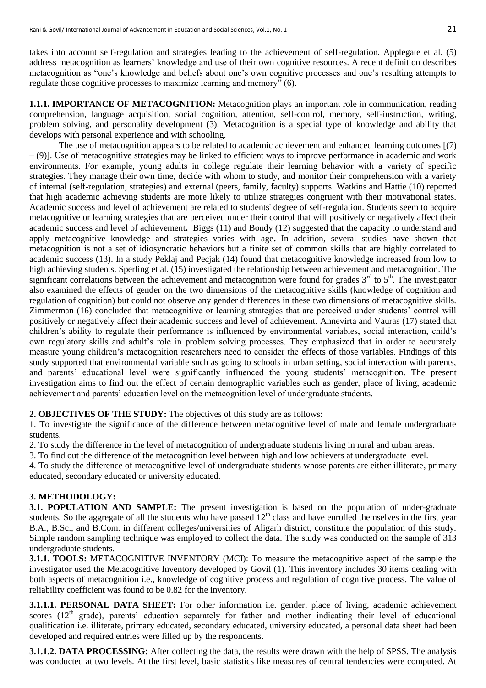takes into account self-regulation and strategies leading to the achievement of self-regulation. Applegate et al. (5) address metacognition as learners' knowledge and use of their own cognitive resources. A recent definition describes metacognition as "one"s knowledge and beliefs about one"s own cognitive processes and one"s resulting attempts to regulate those cognitive processes to maximize learning and memory" (6).

**1.1.1. IMPORTANCE OF METACOGNITION:** Metacognition plays an important role in communication, reading comprehension, language acquisition, social cognition, attention, self-control, memory, self-instruction, writing, problem solving, and personality development (3). Metacognition is a special type of knowledge and ability that develops with personal experience and with schooling.

The use of metacognition appears to be related to academic achievement and enhanced learning outcomes [(7) – (9)]. Use of metacognitive strategies may be linked to efficient ways to improve performance in academic and work environments. For example, young adults in college regulate their learning behavior with a variety of specific strategies. They manage their own time, decide with whom to study, and monitor their comprehension with a variety of internal (self-regulation, strategies) and external (peers, family, faculty) supports. Watkins and Hattie (10) reported that high academic achieving students are more likely to utilize strategies congruent with their motivational states. Academic success and level of achievement are related to students' degree of self-regulation. Students seem to acquire metacognitive or learning strategies that are perceived under their control that will positively or negatively affect their academic success and level of achievement**.** Biggs (11) and Bondy (12) suggested that the capacity to understand and apply metacognitive knowledge and strategies varies with age**.** In addition, several studies have shown that metacognition is not a set of idiosyncratic behaviors but a finite set of common skills that are highly correlated to academic success (13). In a study Peklaj and Pecjak (14) found that metacognitive knowledge increased from low to high achieving students. Sperling et al. (15) investigated the relationship between achievement and metacognition. The significant correlations between the achievement and metacognition were found for grades  $3<sup>rd</sup>$  to  $5<sup>th</sup>$ . The investigator also examined the effects of gender on the two dimensions of the metacognitive skills (knowledge of cognition and regulation of cognition) but could not observe any gender differences in these two dimensions of metacognitive skills. Zimmerman (16) concluded that metacognitive or learning strategies that are perceived under students" control will positively or negatively affect their academic success and level of achievement. Annevirta and Vauras (17) stated that children"s ability to regulate their performance is influenced by environmental variables, social interaction, child"s own regulatory skills and adult"s role in problem solving processes. They emphasized that in order to accurately measure young children"s metacognition researchers need to consider the effects of those variables. Findings of this study supported that environmental variable such as going to schools in urban setting, social interaction with parents, and parents' educational level were significantly influenced the young students' metacognition. The present investigation aims to find out the effect of certain demographic variables such as gender, place of living, academic achievement and parents" education level on the metacognition level of undergraduate students.

**2. OBJECTIVES OF THE STUDY:** The objectives of this study are as follows:

1. To investigate the significance of the difference between metacognitive level of male and female undergraduate students.

2. To study the difference in the level of metacognition of undergraduate students living in rural and urban areas.

3. To find out the difference of the metacognition level between high and low achievers at undergraduate level.

4. To study the difference of metacognitive level of undergraduate students whose parents are either illiterate, primary educated, secondary educated or university educated.

## **3. METHODOLOGY:**

**3.1. POPULATION AND SAMPLE:** The present investigation is based on the population of under-graduate students. So the aggregate of all the students who have passed  $12<sup>th</sup>$  class and have enrolled themselves in the first year B.A., B.Sc., and B.Com. in different colleges/universities of Aligarh district, constitute the population of this study. Simple random sampling technique was employed to collect the data. The study was conducted on the sample of 313 undergraduate students.

**3.1.1. TOOLS:** METACOGNITIVE INVENTORY (MCI): To measure the metacognitive aspect of the sample the investigator used the Metacognitive Inventory developed by Govil (1). This inventory includes 30 items dealing with both aspects of metacognition i.e., knowledge of cognitive process and regulation of cognitive process. The value of reliability coefficient was found to be 0.82 for the inventory.

**3.1.1.1. PERSONAL DATA SHEET:** For other information i.e. gender, place of living, academic achievement scores ( $12<sup>th</sup>$  grade), parents' education separately for father and mother indicating their level of educational qualification i.e. illiterate, primary educated, secondary educated, university educated, a personal data sheet had been developed and required entries were filled up by the respondents.

**3.1.1.2. DATA PROCESSING:** After collecting the data, the results were drawn with the help of SPSS. The analysis was conducted at two levels. At the first level, basic statistics like measures of central tendencies were computed. At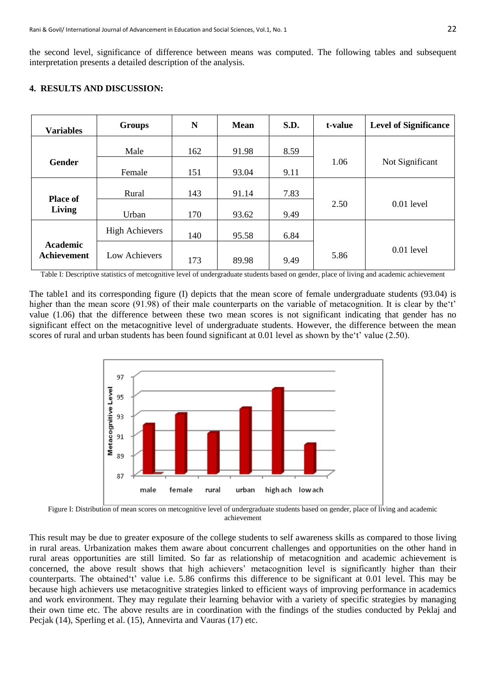the second level, significance of difference between means was computed. The following tables and subsequent interpretation presents a detailed description of the analysis.

|  | <b>4. RESULTS AND DISCUSSION:</b> |  |
|--|-----------------------------------|--|
|  |                                   |  |

| <b>Variables</b> | <b>Groups</b>         | N   | <b>Mean</b> | S.D. | t-value | <b>Level of Significance</b> |
|------------------|-----------------------|-----|-------------|------|---------|------------------------------|
|                  |                       |     |             |      |         |                              |
|                  | Male                  | 162 | 91.98       | 8.59 |         |                              |
| <b>Gender</b>    |                       |     |             |      | 1.06    | Not Significant              |
|                  | Female                | 151 | 93.04       | 9.11 |         |                              |
|                  |                       |     |             |      |         |                              |
|                  | Rural                 | 143 | 91.14       | 7.83 |         |                              |
| <b>Place of</b>  |                       |     |             |      | 2.50    | $0.01$ level                 |
| Living           | Urban                 | 170 | 93.62       | 9.49 |         |                              |
|                  |                       |     |             |      |         |                              |
|                  | <b>High Achievers</b> | 140 | 95.58       | 6.84 |         |                              |
| <b>Academic</b>  |                       |     |             |      |         | $0.01$ level                 |
| Achievement      | Low Achievers         | 173 | 89.98       | 9.49 | 5.86    |                              |

Table I: Descriptive statistics of metcognitive level of undergraduate students based on gender, place of living and academic achievement

The table1 and its corresponding figure (I) depicts that the mean score of female undergraduate students (93.04) is higher than the mean score (91.98) of their male counterparts on the variable of metacognition. It is clear by the't' value (1.06) that the difference between these two mean scores is not significant indicating that gender has no significant effect on the metacognitive level of undergraduate students. However, the difference between the mean scores of rural and urban students has been found significant at 0.01 level as shown by the 't' value (2.50).



Figure I: Distribution of mean scores on metcognitive level of undergraduate students based on gender, place of living and academic achievement

This result may be due to greater exposure of the college students to self awareness skills as compared to those living in rural areas. Urbanization makes them aware about concurrent challenges and opportunities on the other hand in rural areas opportunities are still limited. So far as relationship of metacognition and academic achievement is concerned, the above result shows that high achievers' metacognition level is significantly higher than their counterparts. The obtained 't' value i.e. 5.86 confirms this difference to be significant at 0.01 level. This may be because high achievers use metacognitive strategies linked to efficient ways of improving performance in academics and work environment. They may regulate their learning behavior with a variety of specific strategies by managing their own time etc. The above results are in coordination with the findings of the studies conducted by Peklaj and Pecjak (14), Sperling et al. (15), Annevirta and Vauras (17) etc.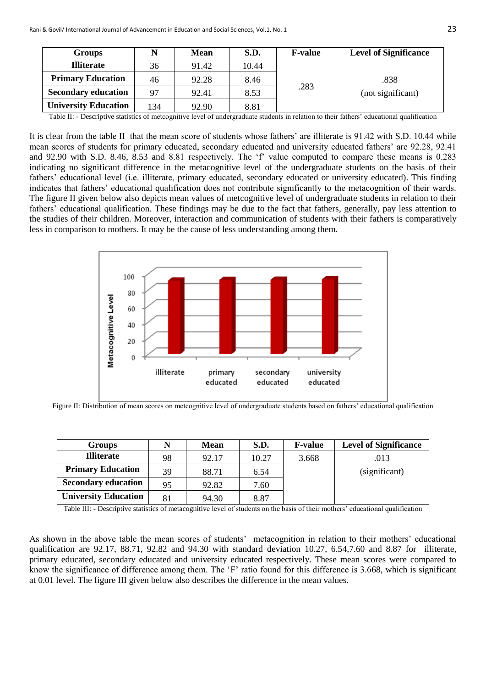| <b>Groups</b>               |     | <b>Mean</b> | S.D.  | <b>F-value</b> | <b>Level of Significance</b> |
|-----------------------------|-----|-------------|-------|----------------|------------------------------|
| <b>Illiterate</b>           | 36  | 91.42       | 10.44 | .283           | .838<br>(not significant)    |
| <b>Primary Education</b>    | 46  | 92.28       | 8.46  |                |                              |
| <b>Secondary education</b>  | 97  | 92.41       | 8.53  |                |                              |
| <b>University Education</b> | 134 | 92.90       | 8.81  |                |                              |

Table II: - Descriptive statistics of metcognitive level of undergraduate students in relation to their fathers" educational qualification

It is clear from the table II that the mean score of students whose fathers' are illiterate is 91.42 with S.D. 10.44 while mean scores of students for primary educated, secondary educated and university educated fathers" are 92.28, 92.41 and 92.90 with S.D. 8.46, 8.53 and 8.81 respectively. The 'f' value computed to compare these means is 0.283 indicating no significant difference in the metacognitive level of the undergraduate students on the basis of their fathers" educational level (i.e. illiterate, primary educated, secondary educated or university educated). This finding indicates that fathers' educational qualification does not contribute significantly to the metacognition of their wards. The figure II given below also depicts mean values of metcognitive level of undergraduate students in relation to their fathers" educational qualification. These findings may be due to the fact that fathers, generally, pay less attention to the studies of their children. Moreover, interaction and communication of students with their fathers is comparatively less in comparison to mothers. It may be the cause of less understanding among them.



Figure II: Distribution of mean scores on metcognitive level of undergraduate students based on fathers' educational qualification

| Groups                      | N  | <b>Mean</b> | <b>S.D.</b> | <b>F-value</b> | <b>Level of Significance</b> |
|-----------------------------|----|-------------|-------------|----------------|------------------------------|
| <b>Illiterate</b>           | 98 | 92.17       | 10.27       | 3.668          | .013                         |
| <b>Primary Education</b>    | 39 | 88.71       | 6.54        |                | (significant)                |
| <b>Secondary education</b>  | 95 | 92.82       | 7.60        |                |                              |
| <b>University Education</b> | 81 | 94.30       | 8.87        |                |                              |

Table III: - Descriptive statistics of metacognitive level of students on the basis of their mothers" educational qualification

As shown in the above table the mean scores of students' metacognition in relation to their mothers' educational qualification are 92.17, 88.71, 92.82 and 94.30 with standard deviation 10.27, 6.54,7.60 and 8.87 for illiterate, primary educated, secondary educated and university educated respectively. These mean scores were compared to know the significance of difference among them. The "F" ratio found for this difference is 3.668, which is significant at 0.01 level. The figure III given below also describes the difference in the mean values.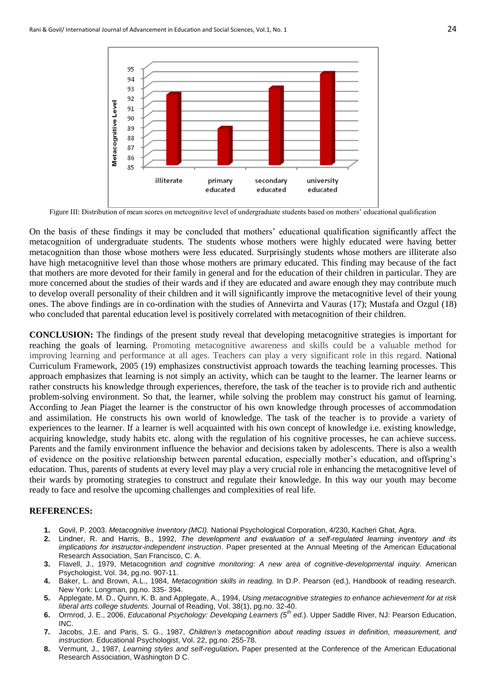

Figure III: Distribution of mean scores on metcognitive level of undergraduate students based on mothers" educational qualification

On the basis of these findings it may be concluded that mothers" educational qualification significantly affect the metacognition of undergraduate students. The students whose mothers were highly educated were having better metacognition than those whose mothers were less educated. Surprisingly students whose mothers are illiterate also have high metacognitive level than those whose mothers are primary educated. This finding may because of the fact that mothers are more devoted for their family in general and for the education of their children in particular. They are more concerned about the studies of their wards and if they are educated and aware enough they may contribute much to develop overall personality of their children and it will significantly improve the metacognitive level of their young ones. The above findings are in co-ordination with the studies of Annevirta and Vauras (17); Mustafa and Ozgul (18) who concluded that parental education level is positively correlated with metacognition of their children.

**CONCLUSION:** The findings of the present study reveal that developing metacognitive strategies is important for reaching the goals of learning. Promoting metacognitive awareness and skills could be a valuable method for improving learning and performance at all ages. Teachers can play a very significant role in this regard. National Curriculum Framework, 2005 (19) emphasizes constructivist approach towards the teaching learning processes. This approach emphasizes that learning is not simply an activity, which can be taught to the learner. The learner learns or rather constructs his knowledge through experiences, therefore, the task of the teacher is to provide rich and authentic problem-solving environment. So that, the learner, while solving the problem may construct his gamut of learning. According to Jean Piaget the learner is the constructor of his own knowledge through processes of accommodation and assimilation. He constructs his own world of knowledge. The task of the teacher is to provide a variety of experiences to the learner. If a learner is well acquainted with his own concept of knowledge i.e. existing knowledge, acquiring knowledge, study habits etc. along with the regulation of his cognitive processes, he can achieve success. Parents and the family environment influence the behavior and decisions taken by adolescents. There is also a wealth of evidence on the positive relationship between parental education, especially mother"s education, and offspring"s education. Thus, parents of students at every level may play a very crucial role in enhancing the metacognitive level of their wards by promoting strategies to construct and regulate their knowledge. In this way our youth may become ready to face and resolve the upcoming challenges and complexities of real life.

## **REFERENCES:**

- **1.** Govil, P. 2003. *Metacognitive Inventory (MCI).* National Psychological Corporation, 4/230, Kacheri Ghat, Agra.
- **2.** Lindner, R. and Harris, B., 1992, *The development and evaluation of a self-regulated learning inventory and its implications for instructor-independent instruction*. Paper presented at the Annual Meeting of the American Educational Research Association, San Francisco, C. A.
- **3.** Flavell, J., 1979, Metacognition *and cognitive monitoring: A new area of cognitive-developmental inquiry*. American Psychologist, Vol. 34, pg.no. 907-11.
- **4.** Baker, L. and Brown, A.L., 1984, *Metacognition skills in reading.* In D.P. Pearson (ed.), Handbook of reading research. New York: Longman, pg.no. 335- 394.
- **5.** Applegate, M. D., Quinn, K. B. and Applegate, A., 1994, *Using metacognitive strategies to enhance achievement for at risk liberal arts college students.* Journal of Reading, Vol. 38(1), pg.no. 32-40.
- **6.** Ormrod, J. E., 2006, *Educational Psychology: Developing Learners (5th ed.*). Upper Saddle River, NJ: Pearson Education, INC.
- **7.** Jacobs, J.E. and Paris, S. G., 1987, *Children's metacognition about reading issues in definition, measurement, and instruction.* Educational Psychologist, Vol. 22, pg.no. 255-78.
- **8.** Vermunt, J., 1987, *Learning styles and self-regulation.* Paper presented at the Conference of the American Educational Research Association, Washington D C.